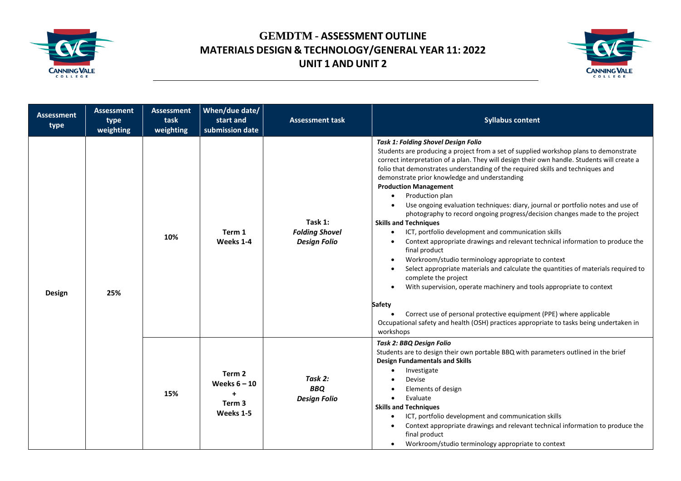



| <b>Assessment</b><br>type | <b>Assessment</b><br>type<br>weighting | <b>Assessment</b><br>task<br>weighting | When/due date/<br>start and<br>submission date               | <b>Assessment task</b>                                  | <b>Syllabus content</b>                                                                                                                                                                                                                                                                                                                                                                                                                                                                                                                                                                                                                                                                                                                                                                                                                                                                                                                                                                                                                                                                                                                                                                                                                                           |
|---------------------------|----------------------------------------|----------------------------------------|--------------------------------------------------------------|---------------------------------------------------------|-------------------------------------------------------------------------------------------------------------------------------------------------------------------------------------------------------------------------------------------------------------------------------------------------------------------------------------------------------------------------------------------------------------------------------------------------------------------------------------------------------------------------------------------------------------------------------------------------------------------------------------------------------------------------------------------------------------------------------------------------------------------------------------------------------------------------------------------------------------------------------------------------------------------------------------------------------------------------------------------------------------------------------------------------------------------------------------------------------------------------------------------------------------------------------------------------------------------------------------------------------------------|
| Design                    | 25%                                    | 10%                                    | Term 1<br>Weeks 1-4                                          | Task 1:<br><b>Folding Shovel</b><br><b>Design Folio</b> | <b>Task 1: Folding Shovel Design Folio</b><br>Students are producing a project from a set of supplied workshop plans to demonstrate<br>correct interpretation of a plan. They will design their own handle. Students will create a<br>folio that demonstrates understanding of the required skills and techniques and<br>demonstrate prior knowledge and understanding<br><b>Production Management</b><br>Production plan<br>Use ongoing evaluation techniques: diary, journal or portfolio notes and use of<br>photography to record ongoing progress/decision changes made to the project<br><b>Skills and Techniques</b><br>ICT, portfolio development and communication skills<br>$\bullet$<br>Context appropriate drawings and relevant technical information to produce the<br>final product<br>Workroom/studio terminology appropriate to context<br>$\bullet$<br>Select appropriate materials and calculate the quantities of materials required to<br>$\bullet$<br>complete the project<br>With supervision, operate machinery and tools appropriate to context<br>Safety<br>Correct use of personal protective equipment (PPE) where applicable<br>Occupational safety and health (OSH) practices appropriate to tasks being undertaken in<br>workshops |
|                           |                                        | 15%                                    | Term 2<br>Weeks $6 - 10$<br>$\ddot{}$<br>Term 3<br>Weeks 1-5 | Task 2:<br><b>BBQ</b><br><b>Design Folio</b>            | Task 2: BBQ Design Folio<br>Students are to design their own portable BBQ with parameters outlined in the brief<br><b>Design Fundamentals and Skills</b><br>Investigate<br>Devise<br>Elements of design<br>Evaluate<br>$\bullet$<br><b>Skills and Techniques</b><br>ICT, portfolio development and communication skills<br>Context appropriate drawings and relevant technical information to produce the<br>$\bullet$<br>final product<br>Workroom/studio terminology appropriate to context                                                                                                                                                                                                                                                                                                                                                                                                                                                                                                                                                                                                                                                                                                                                                                     |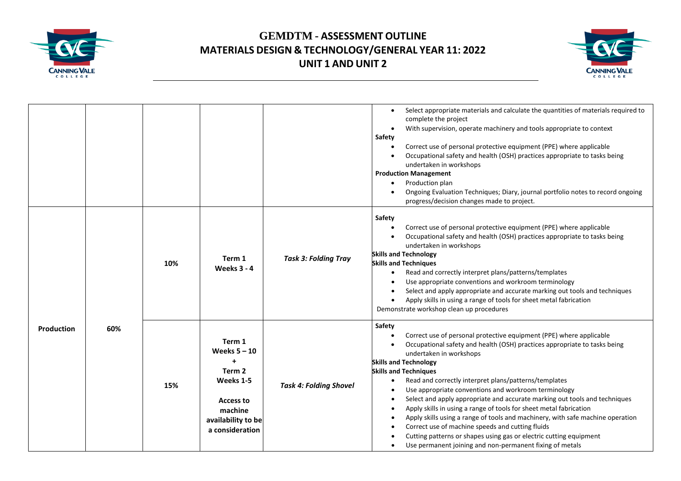



|            |     |     |                                                                                                                               |                               | Select appropriate materials and calculate the quantities of materials required to<br>$\bullet$<br>complete the project<br>With supervision, operate machinery and tools appropriate to context<br>$\bullet$<br>Safety<br>Correct use of personal protective equipment (PPE) where applicable<br>Occupational safety and health (OSH) practices appropriate to tasks being<br>undertaken in workshops<br><b>Production Management</b><br>Production plan<br>Ongoing Evaluation Techniques; Diary, journal portfolio notes to record ongoing<br>progress/decision changes made to project.                                                                                                                                                                                                                                                                                                     |
|------------|-----|-----|-------------------------------------------------------------------------------------------------------------------------------|-------------------------------|-----------------------------------------------------------------------------------------------------------------------------------------------------------------------------------------------------------------------------------------------------------------------------------------------------------------------------------------------------------------------------------------------------------------------------------------------------------------------------------------------------------------------------------------------------------------------------------------------------------------------------------------------------------------------------------------------------------------------------------------------------------------------------------------------------------------------------------------------------------------------------------------------|
|            |     | 10% | Term 1<br><b>Weeks 3 - 4</b>                                                                                                  | <b>Task 3: Folding Tray</b>   | Safety<br>Correct use of personal protective equipment (PPE) where applicable<br>$\bullet$<br>Occupational safety and health (OSH) practices appropriate to tasks being<br>undertaken in workshops<br><b>Skills and Technology</b><br><b>Skills and Techniques</b><br>Read and correctly interpret plans/patterns/templates<br>$\bullet$<br>Use appropriate conventions and workroom terminology<br>Select and apply appropriate and accurate marking out tools and techniques<br>Apply skills in using a range of tools for sheet metal fabrication<br>Demonstrate workshop clean up procedures                                                                                                                                                                                                                                                                                              |
| Production | 60% | 15% | Term 1<br>Weeks $5 - 10$<br>$\ddot{}$<br>Term 2<br>Weeks 1-5<br>Access to<br>machine<br>availability to be<br>a consideration | <b>Task 4: Folding Shovel</b> | Safety<br>Correct use of personal protective equipment (PPE) where applicable<br>$\bullet$<br>Occupational safety and health (OSH) practices appropriate to tasks being<br>undertaken in workshops<br><b>Skills and Technology</b><br><b>Skills and Techniques</b><br>Read and correctly interpret plans/patterns/templates<br>$\bullet$<br>Use appropriate conventions and workroom terminology<br>$\bullet$<br>Select and apply appropriate and accurate marking out tools and techniques<br>$\bullet$<br>Apply skills in using a range of tools for sheet metal fabrication<br>$\bullet$<br>Apply skills using a range of tools and machinery, with safe machine operation<br>$\bullet$<br>Correct use of machine speeds and cutting fluids<br>$\bullet$<br>Cutting patterns or shapes using gas or electric cutting equipment<br>Use permanent joining and non-permanent fixing of metals |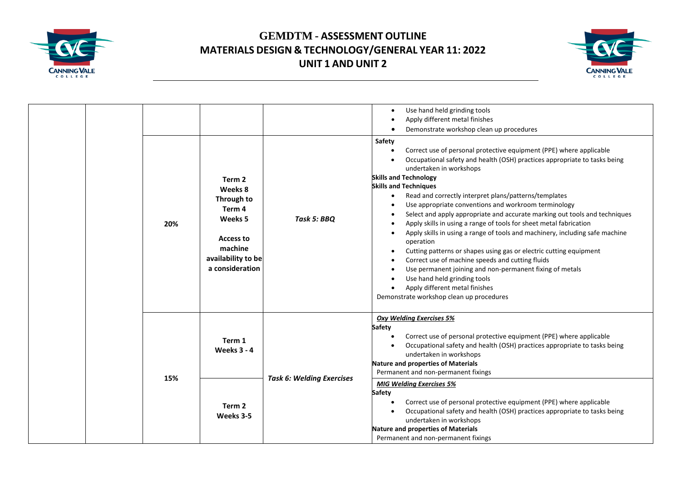



|  |  |     |                                                                                                                                             |                                  | Use hand held grinding tools<br>Apply different metal finishes                                                                                                                                                                                                                                                                                                                                                                                                                                                                                                                                                                                                                                                                                                                                                                                                                                                              |
|--|--|-----|---------------------------------------------------------------------------------------------------------------------------------------------|----------------------------------|-----------------------------------------------------------------------------------------------------------------------------------------------------------------------------------------------------------------------------------------------------------------------------------------------------------------------------------------------------------------------------------------------------------------------------------------------------------------------------------------------------------------------------------------------------------------------------------------------------------------------------------------------------------------------------------------------------------------------------------------------------------------------------------------------------------------------------------------------------------------------------------------------------------------------------|
|  |  |     |                                                                                                                                             |                                  | Demonstrate workshop clean up procedures                                                                                                                                                                                                                                                                                                                                                                                                                                                                                                                                                                                                                                                                                                                                                                                                                                                                                    |
|  |  | 20% | Term <sub>2</sub><br>Weeks 8<br>Through to<br>Term <sub>4</sub><br>Weeks 5<br>Access to<br>machine<br>availability to be<br>a consideration | Task 5: BBQ                      | Safety<br>Correct use of personal protective equipment (PPE) where applicable<br>Occupational safety and health (OSH) practices appropriate to tasks being<br>undertaken in workshops<br><b>Skills and Technology</b><br><b>Skills and Techniques</b><br>Read and correctly interpret plans/patterns/templates<br>Use appropriate conventions and workroom terminology<br>Select and apply appropriate and accurate marking out tools and techniques<br>Apply skills in using a range of tools for sheet metal fabrication<br>Apply skills in using a range of tools and machinery, including safe machine<br>operation<br>Cutting patterns or shapes using gas or electric cutting equipment<br>Correct use of machine speeds and cutting fluids<br>Use permanent joining and non-permanent fixing of metals<br>Use hand held grinding tools<br>Apply different metal finishes<br>Demonstrate workshop clean up procedures |
|  |  | 15% | Term 1<br><b>Weeks 3 - 4</b>                                                                                                                | <b>Task 6: Welding Exercises</b> | <b>Oxy Welding Exercises 5%</b><br><b>Safety</b><br>Correct use of personal protective equipment (PPE) where applicable<br>Occupational safety and health (OSH) practices appropriate to tasks being<br>undertaken in workshops<br>Nature and properties of Materials<br>Permanent and non-permanent fixings                                                                                                                                                                                                                                                                                                                                                                                                                                                                                                                                                                                                                |
|  |  |     | Term <sub>2</sub><br>Weeks 3-5                                                                                                              |                                  | <b>MIG Welding Exercises 5%</b><br>Safety<br>Correct use of personal protective equipment (PPE) where applicable<br>Occupational safety and health (OSH) practices appropriate to tasks being<br>undertaken in workshops<br><b>Nature and properties of Materials</b><br>Permanent and non-permanent fixings                                                                                                                                                                                                                                                                                                                                                                                                                                                                                                                                                                                                                |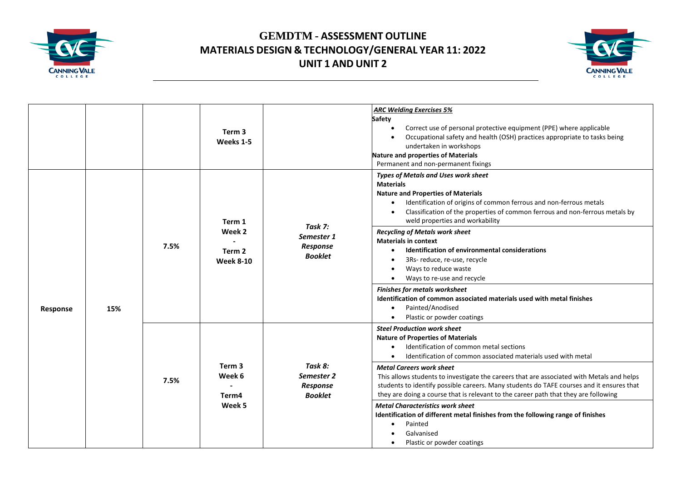



|          |     |      | Term 3<br>Weeks 1-5                                       |                                                     | <b>ARC Welding Exercises 5%</b><br><b>Safety</b><br>Correct use of personal protective equipment (PPE) where applicable<br>$\bullet$<br>Occupational safety and health (OSH) practices appropriate to tasks being<br>$\bullet$<br>undertaken in workshops<br><b>Nature and properties of Materials</b><br>Permanent and non-permanent fixings                                                                                                                                                                                                                                                                                                                                                                                                                                                    |
|----------|-----|------|-----------------------------------------------------------|-----------------------------------------------------|--------------------------------------------------------------------------------------------------------------------------------------------------------------------------------------------------------------------------------------------------------------------------------------------------------------------------------------------------------------------------------------------------------------------------------------------------------------------------------------------------------------------------------------------------------------------------------------------------------------------------------------------------------------------------------------------------------------------------------------------------------------------------------------------------|
| Response | 15% | 7.5% | Term 1<br>Week 2<br>Term <sub>2</sub><br><b>Week 8-10</b> | Task 7:<br>Semester 1<br>Response<br><b>Booklet</b> | <b>Types of Metals and Uses work sheet</b><br><b>Materials</b><br><b>Nature and Properties of Materials</b><br>Identification of origins of common ferrous and non-ferrous metals<br>$\bullet$<br>Classification of the properties of common ferrous and non-ferrous metals by<br>$\bullet$<br>weld properties and workability<br><b>Recycling of Metals work sheet</b><br><b>Materials in context</b><br>Identification of environmental considerations<br>$\bullet$<br>3Rs- reduce, re-use, recycle<br>$\bullet$<br>Ways to reduce waste<br>$\bullet$<br>Ways to re-use and recycle<br>$\bullet$<br><b>Finishes for metals worksheet</b><br>Identification of common associated materials used with metal finishes<br>Painted/Anodised<br>$\bullet$<br>Plastic or powder coatings<br>$\bullet$ |
|          |     | 7.5% | Term <sub>3</sub><br>Week 6<br>Term4<br>Week 5            | Task 8:<br>Semester 2<br>Response<br><b>Booklet</b> | <b>Steel Production work sheet</b><br><b>Nature of Properties of Materials</b><br>Identification of common metal sections<br>$\bullet$<br>Identification of common associated materials used with metal<br>$\bullet$<br><b>Metal Careers work sheet</b><br>This allows students to investigate the careers that are associated with Metals and helps<br>students to identify possible careers. Many students do TAFE courses and it ensures that<br>they are doing a course that is relevant to the career path that they are following<br><b>Metal Characteristics work sheet</b><br>Identification of different metal finishes from the following range of finishes<br>Painted<br>$\bullet$<br>Galvanised<br>Plastic or powder coatings<br>$\bullet$                                           |